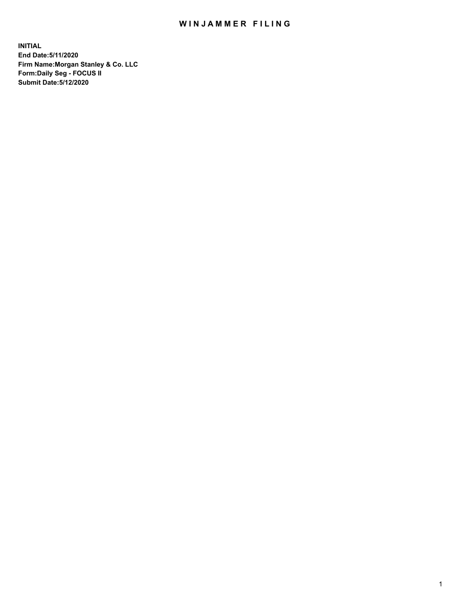## WIN JAMMER FILING

**INITIAL End Date:5/11/2020 Firm Name:Morgan Stanley & Co. LLC Form:Daily Seg - FOCUS II Submit Date:5/12/2020**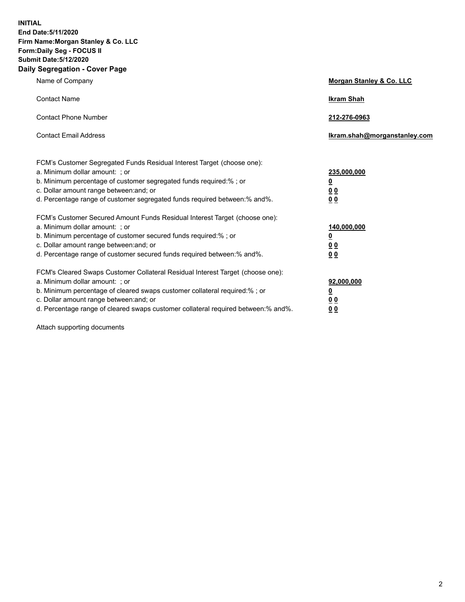**INITIAL End Date:5/11/2020 Firm Name:Morgan Stanley & Co. LLC Form:Daily Seg - FOCUS II Submit Date:5/12/2020 Daily Segregation - Cover Page**

| Name of Company                                                                                                                                                                                                                                                                                                                | Morgan Stanley & Co. LLC                               |
|--------------------------------------------------------------------------------------------------------------------------------------------------------------------------------------------------------------------------------------------------------------------------------------------------------------------------------|--------------------------------------------------------|
| <b>Contact Name</b>                                                                                                                                                                                                                                                                                                            | <b>Ikram Shah</b>                                      |
| <b>Contact Phone Number</b>                                                                                                                                                                                                                                                                                                    | 212-276-0963                                           |
| <b>Contact Email Address</b>                                                                                                                                                                                                                                                                                                   | Ikram.shah@morganstanley.com                           |
| FCM's Customer Segregated Funds Residual Interest Target (choose one):<br>a. Minimum dollar amount: ; or<br>b. Minimum percentage of customer segregated funds required:% ; or<br>c. Dollar amount range between: and; or<br>d. Percentage range of customer segregated funds required between: % and %.                       | 235,000,000<br><u>0</u><br>00<br>0 <sub>0</sub>        |
| FCM's Customer Secured Amount Funds Residual Interest Target (choose one):<br>a. Minimum dollar amount: ; or<br>b. Minimum percentage of customer secured funds required:% ; or<br>c. Dollar amount range between: and; or<br>d. Percentage range of customer secured funds required between:% and%.                           | 140,000,000<br><u>0</u><br><u>00</u><br>0 <sub>0</sub> |
| FCM's Cleared Swaps Customer Collateral Residual Interest Target (choose one):<br>a. Minimum dollar amount: ; or<br>b. Minimum percentage of cleared swaps customer collateral required:% ; or<br>c. Dollar amount range between: and; or<br>d. Percentage range of cleared swaps customer collateral required between:% and%. | 92,000,000<br><u>0</u><br><u>00</u><br>00              |

Attach supporting documents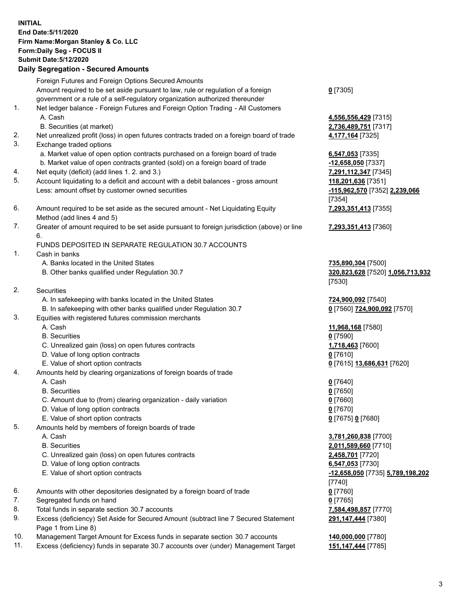## **INITIAL End Date:5/11/2020 Firm Name:Morgan Stanley & Co. LLC Form:Daily Seg - FOCUS II Submit Date:5/12/2020 Daily Segregation - Secured Amounts** Foreign Futures and Foreign Options Secured Amounts Amount required to be set aside pursuant to law, rule or regulation of a foreign government or a rule of a self-regulatory organization authorized thereunder 1. Net ledger balance - Foreign Futures and Foreign Option Trading - All Customers

- 2. Net unrealized profit (loss) in open futures contracts traded on a foreign board of trade **4,177,164** [7325] 3. Exchange traded options a. Market value of open option contracts purchased on a foreign board of trade **6,547,053** [7335] b. Market value of open contracts granted (sold) on a foreign board of trade **-12,658,050** [7337] 4. Net equity (deficit) (add lines 1. 2. and 3.) **7,291,112,347** [7345] 5. Account liquidating to a deficit and account with a debit balances - gross amount **118,201,636** [7351] Less: amount offset by customer owned securities **-115,962,570** [7352] **2,239,066**
	- 6. Amount required to be set aside as the secured amount Net Liquidating Equity Method (add lines 4 and 5)
	- 7. Greater of amount required to be set aside pursuant to foreign jurisdiction (above) or line 6.

## FUNDS DEPOSITED IN SEPARATE REGULATION 30.7 ACCOUNTS

- 1. Cash in banks
	- A. Banks located in the United States **735,890,304** [7500]
	- B. Other banks qualified under Regulation 30.7 **320,823,628** [7520] **1,056,713,932**
- 2. Securities
	- A. In safekeeping with banks located in the United States **724,900,092** [7540]
	- B. In safekeeping with other banks qualified under Regulation 30.7 **0** [7560] **724,900,092** [7570]
- 3. Equities with registered futures commission merchants
	-
	- B. Securities **0** [7590]
	- C. Unrealized gain (loss) on open futures contracts **1,718,463** [7600]
	- D. Value of long option contracts **0** [7610]
	- E. Value of short option contracts **0** [7615] **13,686,631** [7620]
- 4. Amounts held by clearing organizations of foreign boards of trade
	- A. Cash **0** [7640]
	- B. Securities **0** [7650]
	- C. Amount due to (from) clearing organization daily variation **0** [7660]
	- D. Value of long option contracts **0** [7670]
	- E. Value of short option contracts **0** [7675] **0** [7680]
- 5. Amounts held by members of foreign boards of trade
	-
	-
	- C. Unrealized gain (loss) on open futures contracts **2,458,701** [7720]
	- D. Value of long option contracts **6,547,053** [7730]
	- E. Value of short option contracts **-12,658,050** [7735] **5,789,198,202**
- 6. Amounts with other depositories designated by a foreign board of trade **0** [7760]
- 7. Segregated funds on hand **0** [7765]
- 8. Total funds in separate section 30.7 accounts **7,584,498,857** [7770]
- 9. Excess (deficiency) Set Aside for Secured Amount (subtract line 7 Secured Statement Page 1 from Line 8)
- 10. Management Target Amount for Excess funds in separate section 30.7 accounts **140,000,000** [7780]
- 11. Excess (deficiency) funds in separate 30.7 accounts over (under) Management Target **151,147,444** [7785]

**0** [7305]

 A. Cash **4,556,556,429** [7315] B. Securities (at market) **2,736,489,751** [7317]

> [7354] **7,293,351,413** [7355]

**7,293,351,413** [7360]

[7530]

A. Cash **11,968,168** [7580]

 A. Cash **3,781,260,838** [7700] B. Securities **2,011,589,660** [7710] [7740] **291,147,444** [7380]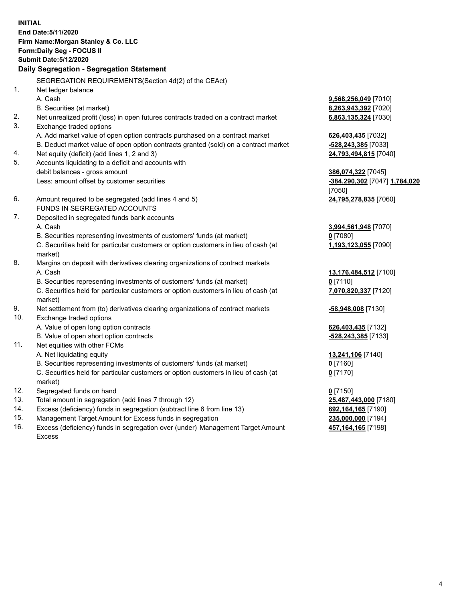**INITIAL End Date:5/11/2020 Firm Name:Morgan Stanley & Co. LLC Form:Daily Seg - FOCUS II Submit Date:5/12/2020 Daily Segregation - Segregation Statement** SEGREGATION REQUIREMENTS(Section 4d(2) of the CEAct) 1. Net ledger balance A. Cash **9,568,256,049** [7010] B. Securities (at market) **8,263,943,392** [7020] 2. Net unrealized profit (loss) in open futures contracts traded on a contract market **6,863,135,324** [7030] 3. Exchange traded options A. Add market value of open option contracts purchased on a contract market **626,403,435** [7032] B. Deduct market value of open option contracts granted (sold) on a contract market **-528,243,385** [7033] 4. Net equity (deficit) (add lines 1, 2 and 3) **24,793,494,815** [7040] 5. Accounts liquidating to a deficit and accounts with debit balances - gross amount **386,074,322** [7045] Less: amount offset by customer securities **-384,290,302** [7047] **1,784,020** [7050] 6. Amount required to be segregated (add lines 4 and 5) **24,795,278,835** [7060] FUNDS IN SEGREGATED ACCOUNTS 7. Deposited in segregated funds bank accounts A. Cash **3,994,561,948** [7070] B. Securities representing investments of customers' funds (at market) **0** [7080] C. Securities held for particular customers or option customers in lieu of cash (at market) **1,193,123,055** [7090] 8. Margins on deposit with derivatives clearing organizations of contract markets A. Cash **13,176,484,512** [7100] B. Securities representing investments of customers' funds (at market) **0** [7110] C. Securities held for particular customers or option customers in lieu of cash (at market) **7,070,820,337** [7120] 9. Net settlement from (to) derivatives clearing organizations of contract markets **-58,948,008** [7130] 10. Exchange traded options A. Value of open long option contracts **626,403,435** [7132] B. Value of open short option contracts **and the set of our original state of the set of open** short option contracts 11. Net equities with other FCMs A. Net liquidating equity **13,241,106** [7140] B. Securities representing investments of customers' funds (at market) **0** [7160] C. Securities held for particular customers or option customers in lieu of cash (at market) **0** [7170] 12. Segregated funds on hand **0** [7150] 13. Total amount in segregation (add lines 7 through 12) **25,487,443,000** [7180] 14. Excess (deficiency) funds in segregation (subtract line 6 from line 13) **692,164,165** [7190]

- 15. Management Target Amount for Excess funds in segregation **235,000,000** [7194]
- 16. Excess (deficiency) funds in segregation over (under) Management Target Amount Excess

**457,164,165** [7198]